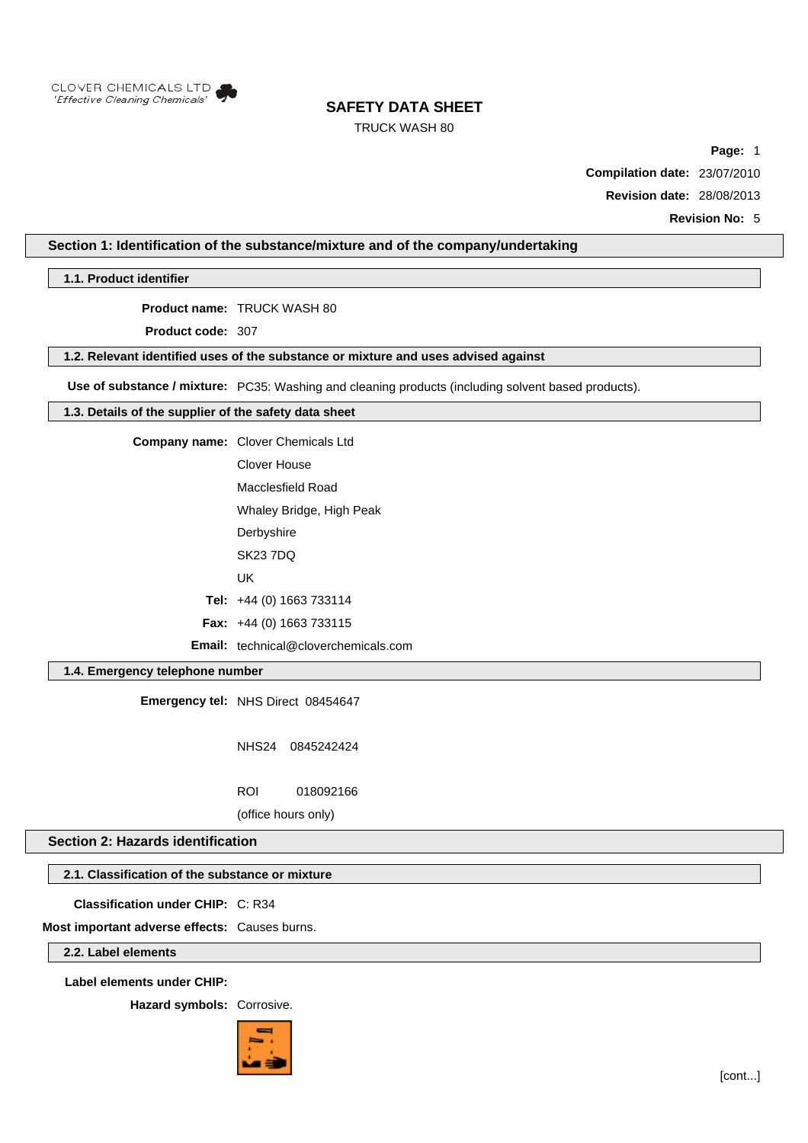

# TRUCK WASH 80

**Page:** 1

**Compilation date:** 23/07/2010

**Revision date:** 28/08/2013

**Revision No:** 5

# **Section 1: Identification of the substance/mixture and of the company/undertaking**

**1.1. Product identifier**

**Product name:** TRUCK WASH 80

**Product code:** 307

### **1.2. Relevant identified uses of the substance or mixture and uses advised against**

**Use of substance / mixture:** PC35: Washing and cleaning products (including solvent based products).

### **1.3. Details of the supplier of the safety data sheet**

**Company name:** Clover Chemicals Ltd

Clover House Macclesfield Road

Whaley Bridge, High Peak

- **Derbyshire**
- SK23 7DQ
- UK

**Tel:** +44 (0) 1663 733114

**Fax:** +44 (0) 1663 733115

**Email:** technical@cloverchemicals.com

# **1.4. Emergency telephone number**

**Emergency tel:** NHS Direct 08454647

NHS24 0845242424

ROI 018092166

(office hours only)

## **Section 2: Hazards identification**

#### **2.1. Classification of the substance or mixture**

**Classification under CHIP:** C: R34

**Most important adverse effects:** Causes burns.

**2.2. Label elements**

**Label elements under CHIP:**

**Hazard symbols:** Corrosive.

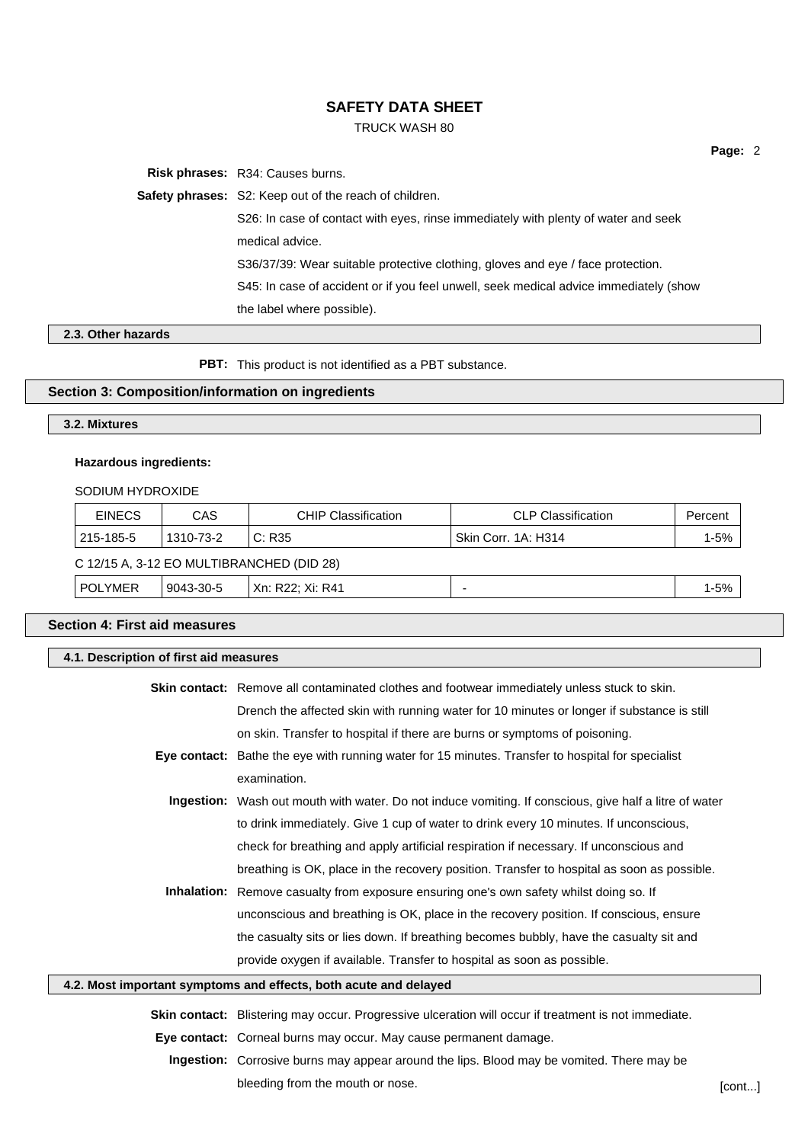## TRUCK WASH 80

**Risk phrases:** R34: Causes burns.

**Safety phrases:** S2: Keep out of the reach of children.

S26: In case of contact with eyes, rinse immediately with plenty of water and seek medical advice.

S36/37/39: Wear suitable protective clothing, gloves and eye / face protection.

S45: In case of accident or if you feel unwell, seek medical advice immediately (show the label where possible).

# **2.3. Other hazards**

**PBT:** This product is not identified as a PBT substance.

# **Section 3: Composition/information on ingredients**

### **3.2. Mixtures**

### **Hazardous ingredients:**

#### SODIUM HYDROXIDE

| <b>EINECS</b>                             | CAS       | <b>CHIP Classification</b> | CLP Classification               | Percent |
|-------------------------------------------|-----------|----------------------------|----------------------------------|---------|
| $1215 - 185 - 5$                          | 1310-73-2 | C: R35                     | <sup>1</sup> Skin Corr. 1A: H314 | 1-5% l  |
| C 12/15 A, 3-12 EO MULTIBRANCHED (DID 28) |           |                            |                                  |         |

| <b>1-5%</b><br>.<br>Xn:<br>PC.<br>9043<br>30-l<br>- -<br>. ההר<br>MER'<br>.<br>. R41<br>AL.<br>$  -$ |
|------------------------------------------------------------------------------------------------------|
|------------------------------------------------------------------------------------------------------|

### **Section 4: First aid measures**

| 4.1. Description of first aid measures |                                                                                                               |  |
|----------------------------------------|---------------------------------------------------------------------------------------------------------------|--|
|                                        | Skin contact: Remove all contaminated clothes and footwear immediately unless stuck to skin.                  |  |
|                                        | Drench the affected skin with running water for 10 minutes or longer if substance is still                    |  |
|                                        | on skin. Transfer to hospital if there are burns or symptoms of poisoning.                                    |  |
|                                        | Eye contact: Bathe the eye with running water for 15 minutes. Transfer to hospital for specialist             |  |
|                                        | examination.                                                                                                  |  |
|                                        | <b>Ingestion:</b> Wash out mouth with water. Do not induce vomiting. If conscious, give half a litre of water |  |
|                                        | to drink immediately. Give 1 cup of water to drink every 10 minutes. If unconscious,                          |  |
|                                        | check for breathing and apply artificial respiration if necessary. If unconscious and                         |  |
|                                        | breathing is OK, place in the recovery position. Transfer to hospital as soon as possible.                    |  |
|                                        | <b>Inhalation:</b> Remove casualty from exposure ensuring one's own safety whilst doing so. If                |  |
|                                        | unconscious and breathing is OK, place in the recovery position. If conscious, ensure                         |  |
|                                        | the casualty sits or lies down. If breathing becomes bubbly, have the casualty sit and                        |  |
|                                        | provide oxygen if available. Transfer to hospital as soon as possible.                                        |  |
|                                        | 4.2. Most important symptoms and effects, both acute and delayed                                              |  |
|                                        | Skin contact: Blistering may occur. Progressive ulceration will occur if treatment is not immediate.          |  |
|                                        | Eye contact: Corneal burns may occur. May cause permanent damage.                                             |  |
|                                        | Ingestion: Corrosive burns may appear around the lips. Blood may be vomited. There may be                     |  |

bleeding from the mouth or nose.  $[cont...]$ 

**Page:** 2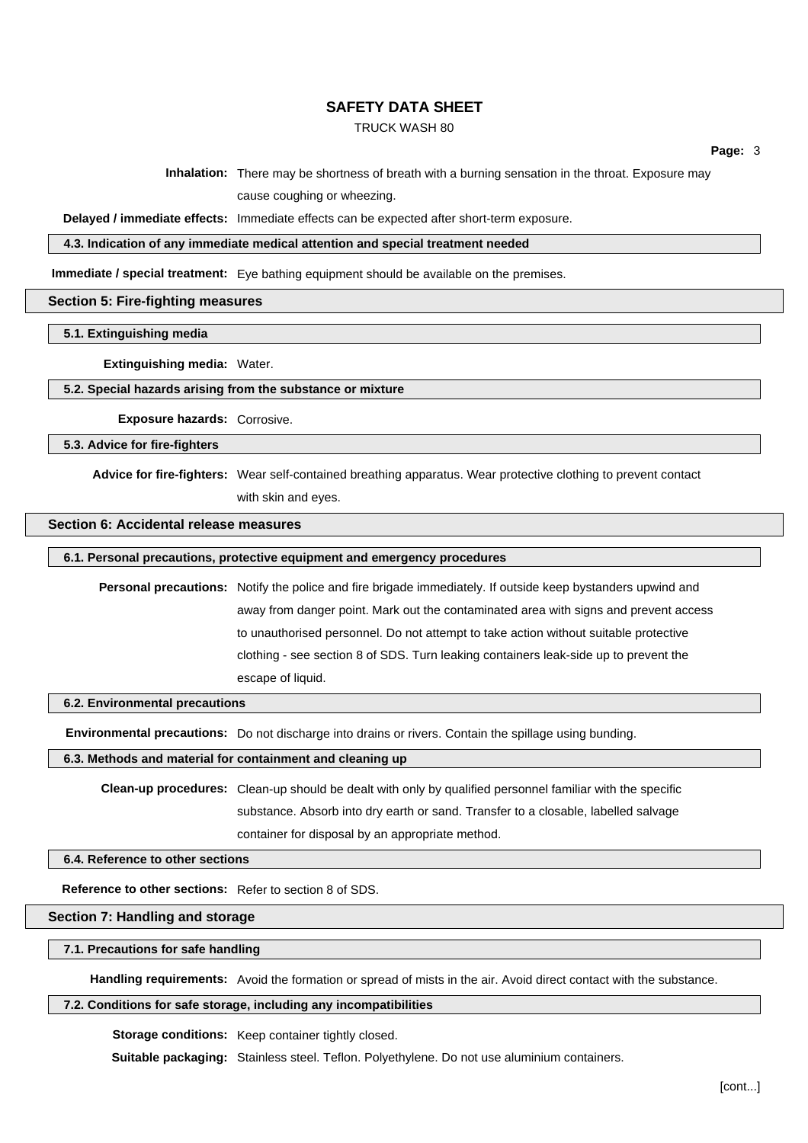#### TRUCK WASH 80

**Inhalation:** There may be shortness of breath with a burning sensation in the throat. Exposure may cause coughing or wheezing.

**Delayed / immediate effects:** Immediate effects can be expected after short-term exposure.

**4.3. Indication of any immediate medical attention and special treatment needed**

**Immediate / special treatment:** Eye bathing equipment should be available on the premises.

#### **Section 5: Fire-fighting measures**

### **5.1. Extinguishing media**

#### **Extinguishing media:** Water.

#### **5.2. Special hazards arising from the substance or mixture**

**Exposure hazards:** Corrosive.

#### **5.3. Advice for fire-fighters**

**Advice for fire-fighters:** Wear self-contained breathing apparatus. Wear protective clothing to prevent contact with skin and eyes.

### **Section 6: Accidental release measures**

#### **6.1. Personal precautions, protective equipment and emergency procedures**

**Personal precautions:** Notify the police and fire brigade immediately. If outside keep bystanders upwind and away from danger point. Mark out the contaminated area with signs and prevent access to unauthorised personnel. Do not attempt to take action without suitable protective clothing - see section 8 of SDS. Turn leaking containers leak-side up to prevent the escape of liquid.

#### **6.2. Environmental precautions**

**Environmental precautions:** Do not discharge into drains or rivers. Contain the spillage using bunding.

**6.3. Methods and material for containment and cleaning up**

**Clean-up procedures:** Clean-up should be dealt with only by qualified personnel familiar with the specific substance. Absorb into dry earth or sand. Transfer to a closable, labelled salvage container for disposal by an appropriate method.

**6.4. Reference to other sections**

**Reference to other sections:** Refer to section 8 of SDS.

#### **Section 7: Handling and storage**

#### **7.1. Precautions for safe handling**

**Handling requirements:** Avoid the formation or spread of mists in the air. Avoid direct contact with the substance.

#### **7.2. Conditions for safe storage, including any incompatibilities**

**Storage conditions:** Keep container tightly closed.

**Suitable packaging:** Stainless steel. Teflon. Polyethylene. Do not use aluminium containers.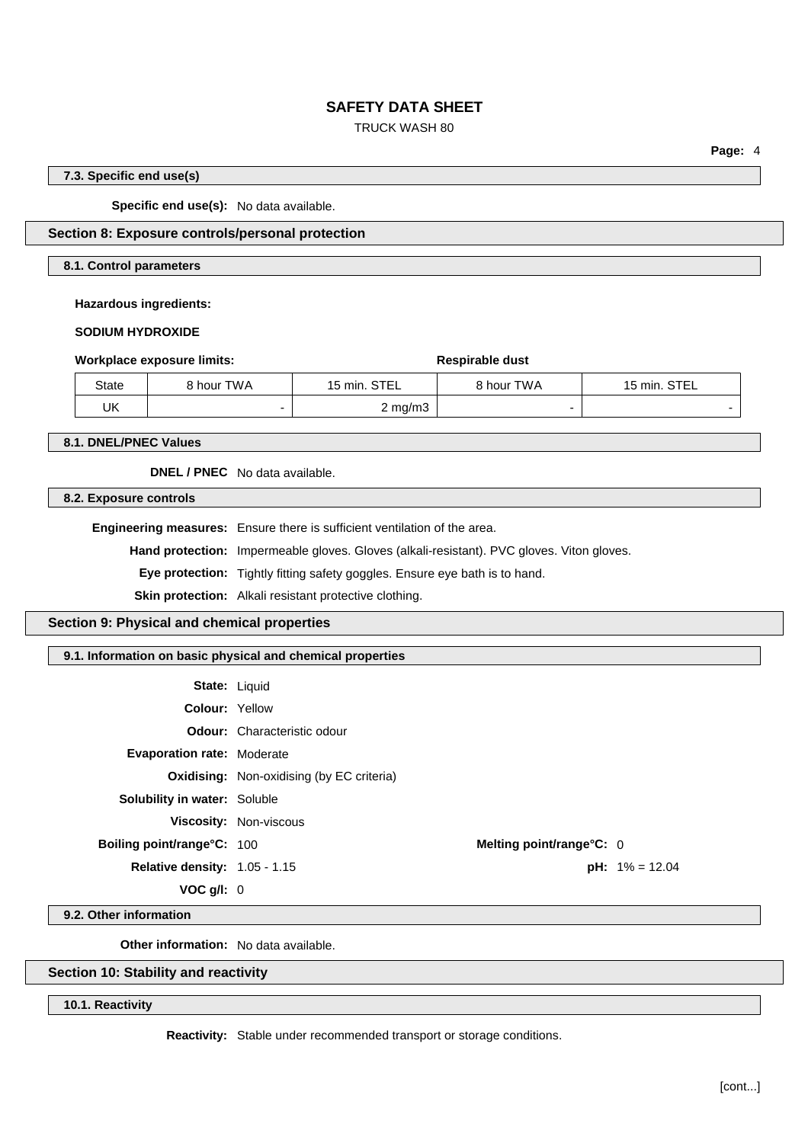# TRUCK WASH 80

**Page:** 4

### **7.3. Specific end use(s)**

**Specific end use(s):** No data available.

# **Section 8: Exposure controls/personal protection**

### **8.1. Control parameters**

**Hazardous ingredients:**

**SODIUM HYDROXIDE**

|  |  |  | Workplace exposure limits: |  |
|--|--|--|----------------------------|--|
|--|--|--|----------------------------|--|

| State | 8 hour TWA | 15 min. STEL       | 8 hour TWA | 15 min. STEL |
|-------|------------|--------------------|------------|--------------|
| UK    |            | $2 \text{ mg/m}$ 3 |            |              |

**Workplace exposure limits: Respirable dust**

**8.1. DNEL/PNEC Values**

**DNEL / PNEC** No data available.

**8.2. Exposure controls**

**Engineering measures:** Ensure there is sufficient ventilation of the area.

**Hand protection:** Impermeable gloves. Gloves (alkali-resistant). PVC gloves. Viton gloves.

**Eye protection:** Tightly fitting safety goggles. Ensure eye bath is to hand.

**Skin protection:** Alkali resistant protective clothing.

**Section 9: Physical and chemical properties**

**9.1. Information on basic physical and chemical properties**

| <b>State: Liquid</b>                   |                                                  |                          |                          |
|----------------------------------------|--------------------------------------------------|--------------------------|--------------------------|
| <b>Colour: Yellow</b>                  |                                                  |                          |                          |
|                                        | <b>Odour:</b> Characteristic odour               |                          |                          |
| <b>Evaporation rate: Moderate</b>      |                                                  |                          |                          |
|                                        | <b>Oxidising:</b> Non-oxidising (by EC criteria) |                          |                          |
| <b>Solubility in water: Soluble</b>    |                                                  |                          |                          |
|                                        | <b>Viscosity: Non-viscous</b>                    |                          |                          |
| Boiling point/range°C: 100             |                                                  | Melting point/range°C: 0 |                          |
| <b>Relative density:</b> $1.05 - 1.15$ |                                                  |                          | <b>pH:</b> $1\% = 12.04$ |
| VOC q/l: 0                             |                                                  |                          |                          |

**9.2. Other information**

**Other information:** No data available.

**Section 10: Stability and reactivity**

**10.1. Reactivity**

**Reactivity:** Stable under recommended transport or storage conditions.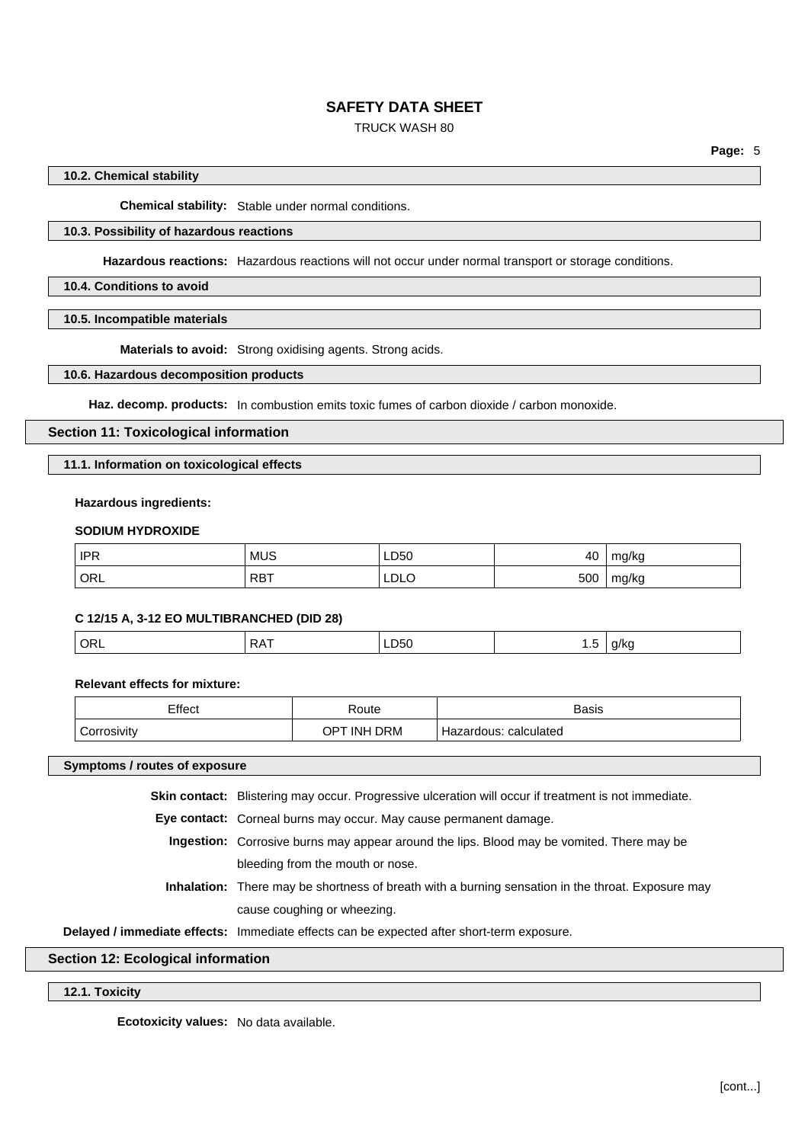# TRUCK WASH 80

### **10.2. Chemical stability**

**Chemical stability:** Stable under normal conditions.

# **10.3. Possibility of hazardous reactions**

**Hazardous reactions:** Hazardous reactions will not occur under normal transport or storage conditions.

### **10.4. Conditions to avoid**

**10.5. Incompatible materials**

**Materials to avoid:** Strong oxidising agents. Strong acids.

### **10.6. Hazardous decomposition products**

**Haz. decomp. products:** In combustion emits toxic fumes of carbon dioxide / carbon monoxide.

#### **Section 11: Toxicological information**

#### **11.1. Information on toxicological effects**

#### **Hazardous ingredients:**

### **SODIUM HYDROXIDE**

| <b>IPR</b> | <b>MUS</b> | LD50<br>___ | 40  | mg/kg |
|------------|------------|-------------|-----|-------|
| ORL        | ⊤RB™       | LDLO        | 500 | mg/kg |

#### **C 12/15 A, 3-12 EO MULTIBRANCHED (DID 28)**

| ⊶ו<br>טע<br><br>$ -$<br>$\sim$ |  |
|--------------------------------|--|
|--------------------------------|--|

**Relevant effects for mixture:**

| Effect           | Route                              | Basis                 |
|------------------|------------------------------------|-----------------------|
| ⌒<br>Corrosivity | <b>DRM</b><br>r inh<br>$OP^{\tau}$ | Hazardous: calculated |

#### **Symptoms / routes of exposure**

**Skin contact:** Blistering may occur. Progressive ulceration will occur if treatment is not immediate.

**Eye contact:** Corneal burns may occur. May cause permanent damage.

- **Ingestion:** Corrosive burns may appear around the lips. Blood may be vomited. There may be bleeding from the mouth or nose.
- **Inhalation:** There may be shortness of breath with a burning sensation in the throat. Exposure may cause coughing or wheezing.

**Delayed / immediate effects:** Immediate effects can be expected after short-term exposure.

# **Section 12: Ecological information**

**12.1. Toxicity**

**Ecotoxicity values:** No data available.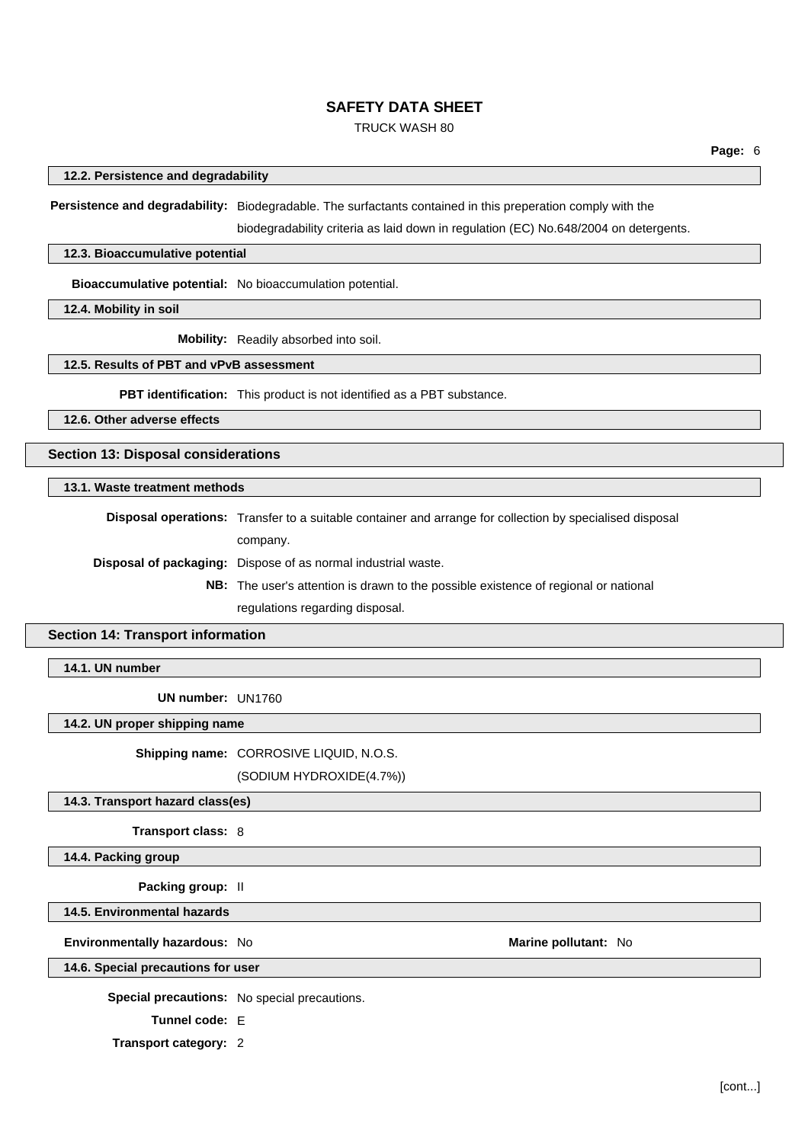### TRUCK WASH 80

#### **12.2. Persistence and degradability**

**Persistence and degradability:** Biodegradable. The surfactants contained in this preperation comply with the

biodegradability criteria as laid down in regulation (EC) No.648/2004 on detergents.

#### **12.3. Bioaccumulative potential**

**Bioaccumulative potential:** No bioaccumulation potential.

**12.4. Mobility in soil**

**Mobility:** Readily absorbed into soil.

## **12.5. Results of PBT and vPvB assessment**

**PBT identification:** This product is not identified as a PBT substance.

**12.6. Other adverse effects**

# **Section 13: Disposal considerations**

#### **13.1. Waste treatment methods**

**Disposal operations:** Transfer to a suitable container and arrange for collection by specialised disposal company.

**Disposal of packaging:** Dispose of as normal industrial waste.

**NB:** The user's attention is drawn to the possible existence of regional or national regulations regarding disposal.

### **Section 14: Transport information**

**14.1. UN number**

**UN number:** UN1760

### **14.2. UN proper shipping name**

**Shipping name:** CORROSIVE LIQUID, N.O.S.

(SODIUM HYDROXIDE(4.7%))

### **14.3. Transport hazard class(es)**

**Transport class:** 8

#### **14.4. Packing group**

**Packing group:** II

#### **14.5. Environmental hazards**

#### **Environmentally hazardous:** No **Marine pollutant:** No

**14.6. Special precautions for user**

**Special precautions:** No special precautions.

**Tunnel code:** E

**Transport category:** 2